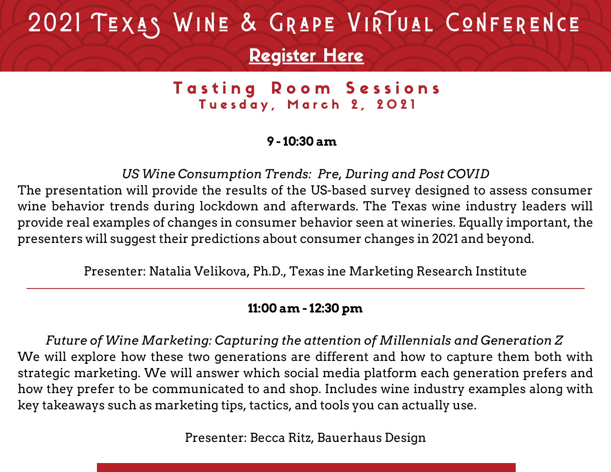# 2021 TEXAS WINE & GRAPE VIRTUAL CONFERENCE

## [Register](https://twgga.memberclicks.net/2021virtualforum#/) Here

Tasting Room Sessions Tuesday, March 2, 2021

### **9 - 10:30 am**

*US Wine Consumption Trends: Pre, During and Post COVID* The presentation will provide the results of the US-based survey designed to assess consumer wine behavior trends during lockdown and afterwards. The Texas wine industry leaders will provide real examples of changes in consumer behavior seen at wineries. Equally important, the presenters will suggest their predictions about consumer changes in 2021 and beyond.

Presenter: Natalia Velikova, Ph.D., Texas ine Marketing Research Institute

#### **11:00 am - 12:30 pm**

*Future of Wine Marketing: Capturing the attention of Millennials and Generation Z* We will explore how these two generations are different and how to capture them both with strategic marketing. We will answer which social media platform each generation prefers and how they prefer to be communicated to and shop. Includes wine industry examples along with key takeaways such as marketing tips, tactics, and tools you can actually use.

Presenter: Becca Ritz, Bauerhaus Design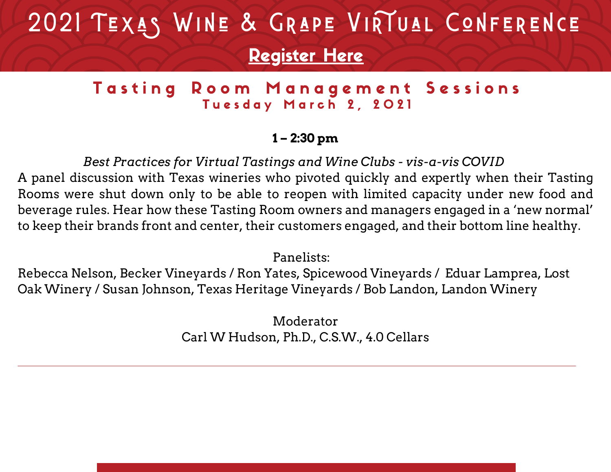# 2021 TEXAS WINE & GRAPE VIRTUAL CONFERENCE [Register](https://twgga.memberclicks.net/2021virtualforum#/) Here

## Tasting Room Management Sessions Tuesday March 2, 2021

### **1 – 2:30 pm**

 *Best Practices for Virtual Tastings and Wine Clubs - vis-a-vis COVID* A panel discussion with Texas wineries who pivoted quickly and expertly when their Tasting Rooms were shut down only to be able to reopen with limited capacity under new food and beverage rules. Hear how these Tasting Room owners and managers engaged in a 'new normal' to keep their brands front and center, their customers engaged, and their bottom line healthy.

Panelists:

Rebecca Nelson, Becker Vineyards / Ron Yates, Spicewood Vineyards / Eduar Lamprea, Lost Oak Winery / Susan Johnson, Texas Heritage Vineyards / Bob Landon, Landon Winery

> Moderator Carl W Hudson, Ph.D., C.S.W., 4.0 Cellars